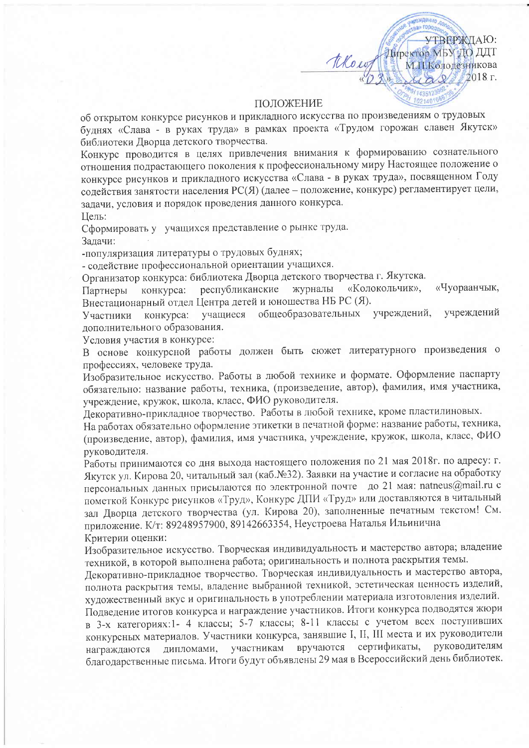## ПОЛОЖЕНИЕ

thew

УТВЕРЖДАЮ:

2018 г.

Энфектор МБУ-ДО ДДТ<br>М.Н.Колоденикова

об открытом конкурсе рисунков и прикладного искусства по произведениям о трудовых буднях «Слава - в руках труда» в рамках проекта «Трудом горожан славен Якутск» библиотеки Дворца детского творчества.

Конкурс проводится в целях привлечения внимания к формированию сознательного отношения подрастающего поколения к профессиональному миру Настоящее положение о конкурсе рисунков и прикладного искусства «Слава - в руках труда», посвященном Году содействия занятости населения РС(Я) (далее - положение, конкурс) регламентирует цели, задачи, условия и порядок проведения данного конкурса. Цель:

Сформировать у учащихся представление о рынке труда. Задачи:

-популяризация литературы о трудовых буднях;

- содействие профессиональной ориентации учащихся.

Организатор конкурса: библиотека Дворца детского творчества г. Якутска.

«Чуораанчык, журналы «Колокольчик», республиканские конкурса: Партнеры Внестационарный отдел Центра детей и юношества НБ РС (Я).

учащиеся общеобразовательных учреждений, учреждений Участники конкурса: дополнительного образования.

Условия участия в конкурсе:

В основе конкурсной работы должен быть сюжет литературного произведения о профессиях, человеке труда.

Изобразительное искусство. Работы в любой технике и формате. Оформление паспарту обязательно: название работы, техника, (произведение, автор), фамилия, имя участника, учреждение, кружок, школа, класс, ФИО руководителя.

Декоративно-прикладное творчество. Работы в любой технике, кроме пластилиновых.

На работах обязательно оформление этикетки в печатной форме: название работы, техника, (произведение, автор), фамилия, имя участника, учреждение, кружок, школа, класс, ФИО руководителя.

Работы принимаются со дня выхода настоящего положения по 21 мая 2018г. по адресу: г. Якутск ул. Кирова 20, читальный зал (каб.№32). Заявки на участие и согласие на обработку персональных данных присылаются по электронной почте до 21 мая: natneus@mail.ru с пометкой Конкурс рисунков «Труд», Конкурс ДПИ «Труд» или доставляются в читальный зал Дворца детского творчества (ул. Кирова 20), заполненные печатным текстом! См. приложение. К/т: 89248957900, 89142663354, Неустроева Наталья Ильинична Критерии оценки:

Изобразительное искусство. Творческая индивидуальность и мастерство автора; владение техникой, в которой выполнена работа; оригинальность и полнота раскрытия темы.

Декоративно-прикладное творчество. Творческая индивидуальность и мастерство автора, полнота раскрытия темы, владение выбранной техникой, эстетическая ценность изделий, художественный вкус и оригинальность в употреблении материала изготовления изделий.

Подведение итогов конкурса и награждение участников. Итоги конкурса подводятся жюри в 3-х категориях:1- 4 классы; 5-7 классы; 8-11 классы с учетом всех поступивших конкурсных материалов. Участники конкурса, занявшие I, II, III места и их руководители сертификаты, руководителям участникам вручаются дипломами, награждаются благодарственные письма. Итоги будут объявлены 29 мая в Всероссийский день библиотек.